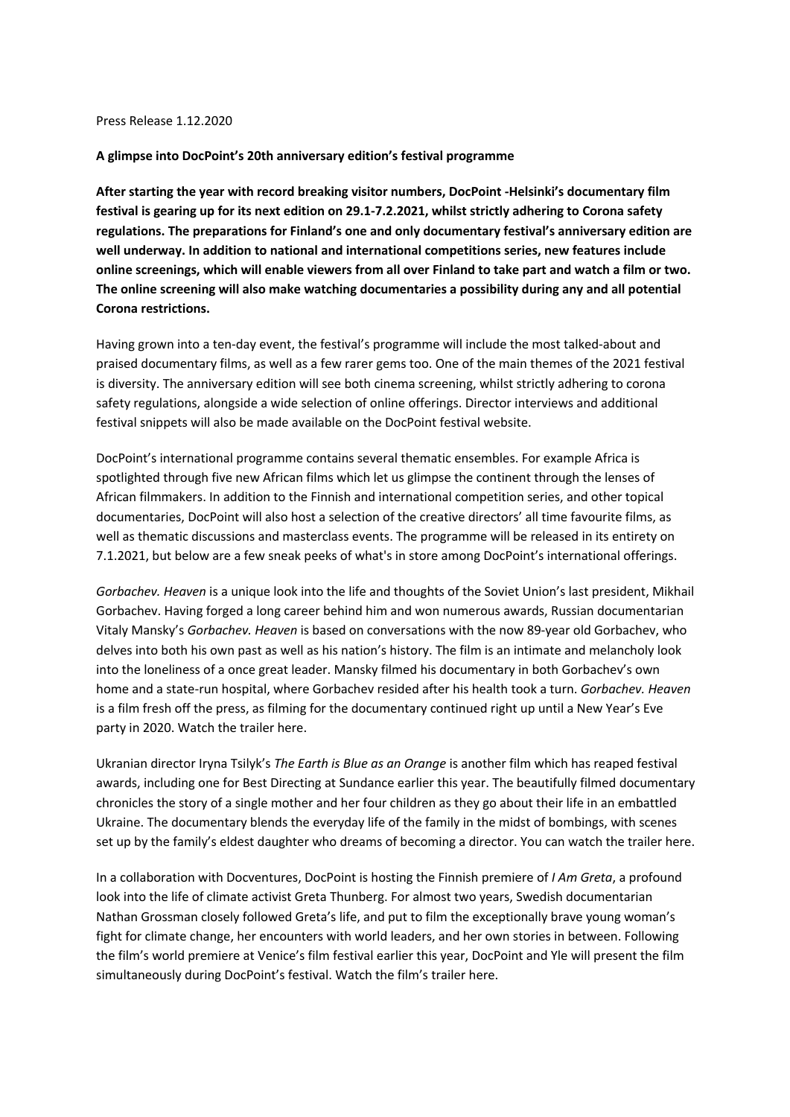## Press Release 1.12.2020

## **A glimpse into DocPoint's 20th anniversary edition's festival programme**

**After starting the year with record breaking visitor numbers, DocPoint -Helsinki's documentary film festival is gearing up for its next edition on 29.1-7.2.2021, whilst strictly adhering to Corona safety regulations. The preparations for Finland's one and only documentary festival's anniversary edition are well underway. In addition to national and international competitions series, new features include online screenings, which will enable viewers from all over Finland to take part and watch a film or two. The online screening will also make watching documentaries a possibility during any and all potential Corona restrictions.**

Having grown into a ten-day event, the festival's programme will include the most talked-about and praised documentary films, as well as a few rarer gems too. One of the main themes of the 2021 festival is diversity. The anniversary edition will see both cinema screening, whilst strictly adhering to corona safety regulations, alongside a wide selection of online offerings. Director interviews and additional festival snippets will also be made available on the DocPoint festival website.

DocPoint's international programme contains several thematic ensembles. For example Africa is spotlighted through five new African films which let us glimpse the continent through the lenses of African filmmakers. In addition to the Finnish and international competition series, and other topical documentaries, DocPoint will also host a selection of the creative directors' all time favourite films, as well as thematic discussions and masterclass events. The programme will be released in its entirety on 7.1.2021, but below are a few sneak peeks of what's in store among DocPoint's international offerings.

*Gorbachev. Heaven* is a unique look into the life and thoughts of the Soviet Union's last president, Mikhail Gorbachev. Having forged a long career behind him and won numerous awards, Russian documentarian Vitaly Mansky's *Gorbachev. Heaven* is based on conversations with the now 89-year old Gorbachev, who delves into both his own past as well as his nation's history. The film is an intimate and melancholy look into the loneliness of a once great leader. Mansky filmed his documentary in both Gorbachev's own home and a state-run hospital, where Gorbachev resided after his health took a turn. *Gorbachev. Heaven* is a film fresh off the press, as filming for the documentary continued right up until a New Year's Eve party in 2020. Watch the trailer here.

Ukranian director Iryna Tsilyk's *The Earth is Blue as an Orange* is another film which has reaped festival awards, including one for Best Directing at Sundance earlier this year. The beautifully filmed documentary chronicles the story of a single mother and her four children as they go about their life in an embattled Ukraine. The documentary blends the everyday life of the family in the midst of bombings, with scenes set up by the family's eldest daughter who dreams of becoming a director. You can watch the trailer here.

In a collaboration with Docventures, DocPoint is hosting the Finnish premiere of *I Am Greta*, a profound look into the life of climate activist Greta Thunberg. For almost two years, Swedish documentarian Nathan Grossman closely followed Greta's life, and put to film the exceptionally brave young woman's fight for climate change, her encounters with world leaders, and her own stories in between. Following the film's world premiere at Venice's film festival earlier this year, DocPoint and Yle will present the film simultaneously during DocPoint's festival. Watch the film's trailer here.